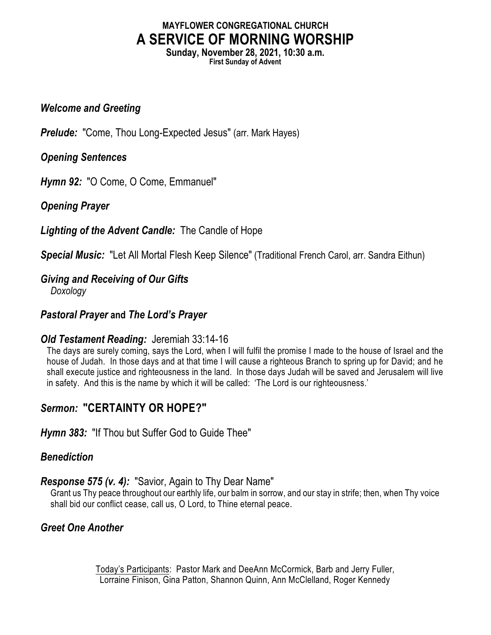# **MAYFLOWER CONGREGATIONAL CHURCH A SERVICE OF MORNING WORSHIP**

**Sunday, November 28, 2021, 10:30 a.m. First Sunday of Advent**

#### *Welcome and Greeting*

*Prelude:* "Come. Thou Long-Expected Jesus" (arr. Mark Hayes)

#### *Opening Sentences*

*Hymn 92:* "O Come, O Come, Emmanuel"

*Opening Prayer*

*Lighting of the Advent Candle:* The Candle of Hope

*Special Music:* "Let All Mortal Flesh Keep Silence" (Traditional French Carol, arr. Sandra Eithun)

## *Giving and Receiving of Our Gifts*

*Doxology*

### *Pastoral Prayer* **and** *The Lord's Prayer*

#### *Old Testament Reading:* Jeremiah 33:14-16

The days are surely coming, says the Lord, when I will fulfil the promise I made to the house of Israel and the house of Judah. In those days and at that time I will cause a righteous Branch to spring up for David; and he shall execute justice and righteousness in the land. In those days Judah will be saved and Jerusalem will live in safety. And this is the name by which it will be called: 'The Lord is our righteousness.'

## *Sermon:* **"CERTAINTY OR HOPE?"**

*Hymn 383:* "If Thou but Suffer God to Guide Thee"

#### *Benediction*

#### *Response 575 (v. 4):* "Savior, Again to Thy Dear Name"

Grant us Thy peace throughout our earthly life, our balm in sorrow, and our stay in strife; then, when Thy voice shall bid our conflict cease, call us, O Lord, to Thine eternal peace.

#### *Greet One Another*

Today's Participants: Pastor Mark and DeeAnn McCormick, Barb and Jerry Fuller, Lorraine Finison, Gina Patton, Shannon Quinn, Ann McClelland, Roger Kennedy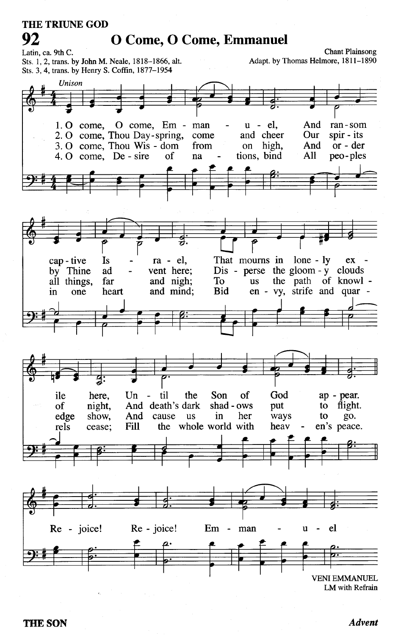#### THE TRIUNE GOD 92 O Come, O Come, Emmanuel Latin, ca. 9th C. **Chant Plainsong** Sts. 1, 2, trans. by John M. Neale, 1818-1866, alt. Adapt. by Thomas Helmore, 1811-1890 Sts. 3, 4, trans. by Henry S. Coffin, 1877-1954 Unison O come, Em - man And ran-som  $1.0$  come,  $u$  -  $el$ . 2. O come, Thou Day-spring,  $spir - its$ come and cheer Our 3. O come, Thou Wis - dom or - der from high, And on 4. O come, De - sire tions, bind All peo-ples of na Is That mourns in ra - el,  $lone - ly$ cap - tive  $ex$ Thine vent here; Dis - perse the gloom -  $y$  clouds by ad and nigh; To the path of knowl far all things, **us Bid** heart and mind; en - vy, strife and quar one in  $\overline{\boldsymbol{c}}$ here.  $Un$ - til God the Son of ile ap - pear. flight. of night. And death's dark shad - ows put to edge show, And cause in her ways to **us** go. rels Fill the whole world with heav en's peace. cease; Re - joice! Re - joice!  $Em$ man el  $\mathbf{u}$  $\blacksquare$

**VENI EMMANUEL** LM with Refrain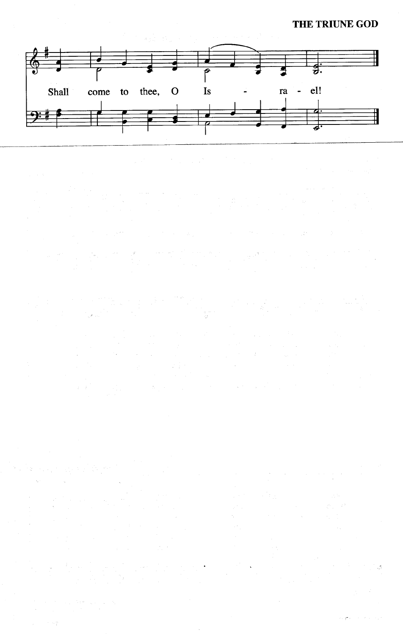**THE TRIUNE GOD** 



 $\mathcal{L}^{\mathcal{L}}_{\mathcal{L}}$  and  $\mathcal{L}^{\mathcal{L}}_{\mathcal{L}}$  are the contribution of the contribution of the contribution of the contribution of the contribution of the contribution of the contribution of the contribution of the con

 $\mathbb{E}[\mathbf{e}^{(i)}]$  ,  $\mathbb{E}[\mathbf{e}^{(i)}]$  ,  $\mathbb{E}[\mathbf{e}^{(i)}]$ 

 $\label{eq:2} \begin{array}{l} \left\langle \frac{1}{2} \mathbf{e} \right\rangle = \frac{1}{2} \mathbf{e} \mathbf{e}^{-\frac{1}{2} \mathbf{e} \cdot \mathbf{e}^{-\frac{1}{2} \mathbf{e} \cdot \mathbf{e}^{-\frac{1}{2} \mathbf{e} \cdot \mathbf{e}^{-\frac{1}{2} \mathbf{e} \cdot \mathbf{e}^{-\frac{1}{2} \mathbf{e} \cdot \mathbf{e}^{-\frac{1}{2} \mathbf{e} \cdot \mathbf{e}^{-\frac{1}{2} \mathbf{e} \cdot \mathbf{e}^{-\frac{1}{2} \mathbf$  $\sim 4.5\times 10^{-10}$  $\label{eq:2.1} \mathcal{L}_{\mathcal{D}} = \frac{\partial \mathcal{L}_{\mathcal{D}}}{\partial \mathcal{L}_{\mathcal{D}}} = \frac{1}{2} \mathcal{L}_{\mathcal{D}} \mathcal{L}_{\mathcal{D}} \mathcal{L}_{\mathcal{D}}$ 

a series de la propieta de la propieta de la propieta de la propieta de la propieta de la propieta de la propi<br>La propieta de la propieta de la propieta de la propieta de la propieta de la propieta de la propieta de la p<br>E  $\alpha$  .  $\label{eq:2.1} \mathcal{L}(\mathbf{F}^{(1)}_{\mathbf{F}}) = \sum_{\mathbf{F}^{(1)}_{\mathbf{F}} \in \mathcal{L}(\mathbf{F}^{(1)}_{\mathbf{F}})} \mathcal{L}(\mathbf{F}^{(1)}_{\mathbf{F}}) = \mathcal{L}(\mathbf{F}^{(1)}_{\mathbf{F}}) = \mathcal{L}(\mathbf{F}^{(1)}_{\mathbf{F}}) \mathcal{L}(\mathbf{F}^{(1)}_{\mathbf{F}}) = \mathcal{L}(\mathbf{F}^{(1)}_{\mathbf{F}}) \mathcal{L}(\mathbf{F}^{(1)}_{$ 

 $\mathcal{L}_{\mathcal{A}} = \mathcal{L}_{\mathcal{A}}$  , where

15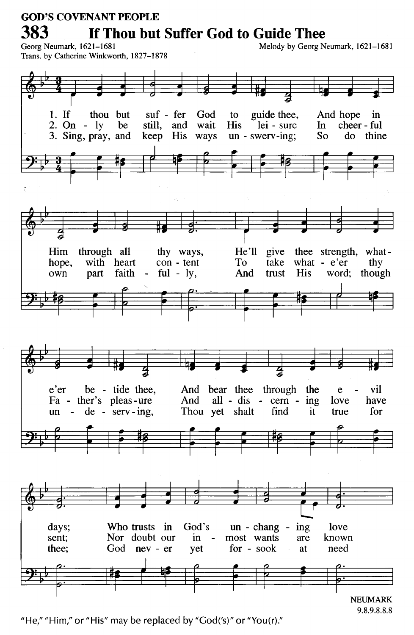#### **GOD'S COVENANT PEOPLE** 383 If Thou but Suffer God to Guide Thee Georg Neumark, 1621-1681

Melody by Georg Neumark, 1621-1681



"He," "Him," or "His" may be replaced by "God('s)" or "You(r)."